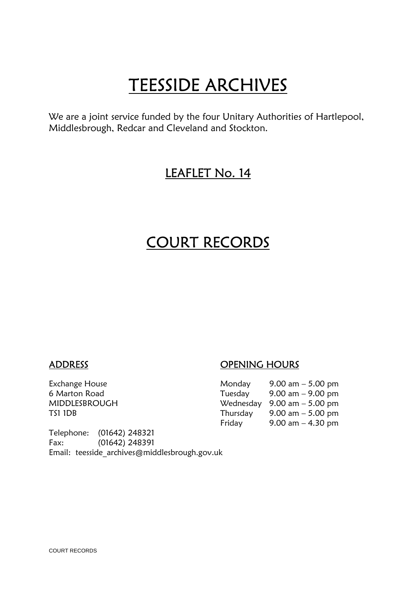# **TEESSIDE ARCHIVES**<br>We are a joint service funded by the four Unitary Authorities of Hartlepool,

Middlesbrough, Redcar and Cleveland and Stockton.

## LEAFLET No. 14

## COURT RECORDS

Telephone: (01642) 248321 Fax: (01642) 248391 Email: teesside\_archives@middlesbrough.gov.uk

### ADDRESS ADDRESS OPENING HOURS

| Exchange House | Monday   | 9.00 am $-$ 5.00 pm                           |
|----------------|----------|-----------------------------------------------|
| 6 Marton Road  | Tuesday  | $9.00 \text{ am} - 9.00 \text{ pm}$           |
| MIDDLESBROUGH  |          | Wednesday $9.00 \text{ am} - 5.00 \text{ pm}$ |
| TS1 1DB        | Thursday | 9.00 am $-$ 5.00 pm                           |
|                | Friday   | 9.00 am $-$ 4.30 pm                           |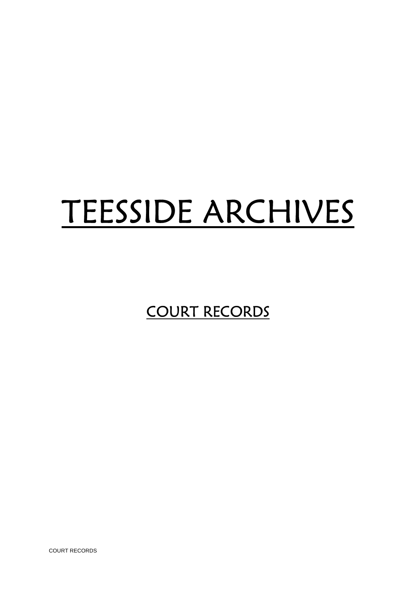## TEESSIDE ARCHIVES

COURT RECORDS

COURT RECORDS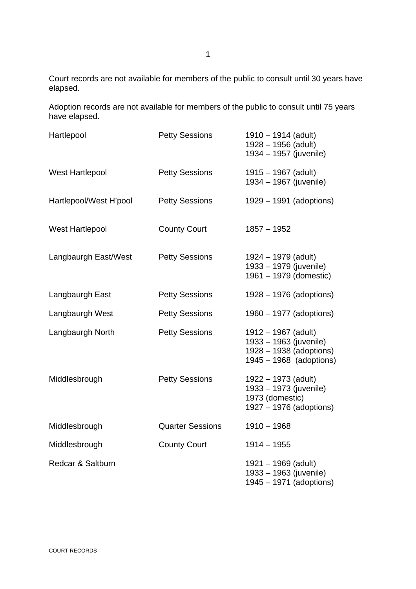Court records are not available for members of the public to consult until 30 years have elapsed.

Adoption records are not available for members of the public to consult until 75 years have elapsed.

| Hartlepool             | <b>Petty Sessions</b>   | $1910 - 1914$ (adult)<br>1928 - 1956 (adult)<br>1934 - 1957 (juvenile)                                |
|------------------------|-------------------------|-------------------------------------------------------------------------------------------------------|
| West Hartlepool        | <b>Petty Sessions</b>   | $1915 - 1967$ (adult)<br>1934 - 1967 (juvenile)                                                       |
| Hartlepool/West H'pool | <b>Petty Sessions</b>   | 1929 – 1991 (adoptions)                                                                               |
| West Hartlepool        | <b>County Court</b>     | $1857 - 1952$                                                                                         |
| Langbaurgh East/West   | <b>Petty Sessions</b>   | $1924 - 1979$ (adult)<br>1933 - 1979 (juvenile)<br>1961 - 1979 (domestic)                             |
| Langbaurgh East        | <b>Petty Sessions</b>   | 1928 – 1976 (adoptions)                                                                               |
| Langbaurgh West        | <b>Petty Sessions</b>   | 1960 – 1977 (adoptions)                                                                               |
| Langbaurgh North       | <b>Petty Sessions</b>   | $1912 - 1967$ (adult)<br>1933 - 1963 (juvenile)<br>1928 - 1938 (adoptions)<br>1945 - 1968 (adoptions) |
| Middlesbrough          | <b>Petty Sessions</b>   | $1922 - 1973$ (adult)<br>1933 - 1973 (juvenile)<br>1973 (domestic)<br>1927 – 1976 (adoptions)         |
| Middlesbrough          | <b>Quarter Sessions</b> | $1910 - 1968$                                                                                         |
| Middlesbrough          | <b>County Court</b>     | $1914 - 1955$                                                                                         |
| Redcar & Saltburn      |                         | $1921 - 1969$ (adult)<br>1933 - 1963 (juvenile)<br>1945 - 1971 (adoptions)                            |